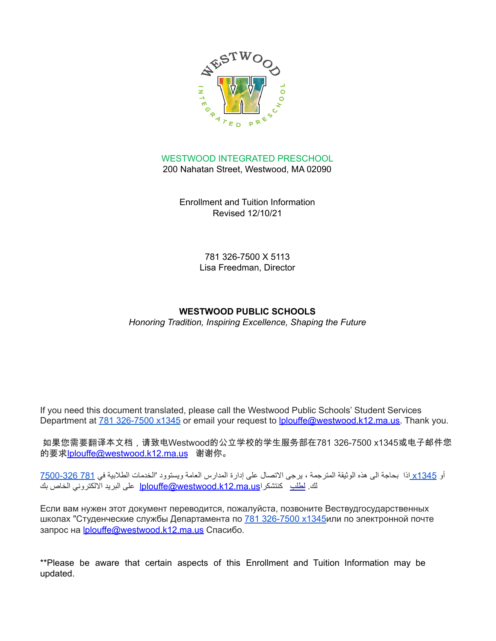

WESTWOOD INTEGRATED PRESCHOOL 200 Nahatan Street, Westwood, MA 02090

> Enrollment and Tuition Information Revised 12/10/21

> > 781 326-7500 X 5113 Lisa Freedman, Director

## **WESTWOOD PUBLIC SCHOOLS**

*Honoring Tradition, Inspiring Excellence, Shaping the Future*

If you need this document translated, please call the Westwood Public Schools' Student Services Department at 781 [326-7500](tel:781%20326-7500%20x1345) x1345 or email your request to [lplouffe@westwood.k12.ma.us.](mailto:lplouffe@westwood.k12.ma.us) Thank you.

如果您需要翻译本文档,请致电Westwood的公立学校的学生服务部在781 326-7500 x1345或电子邮件您 的要求[lplouffe@westwood.k12.ma.us](mailto:lplouffe@westwood.k12.ma.us) 谢谢你。

أو [1345x](tel:781%20326-7500%20x1345) اذا بحاجة الى هذه الوثيقة المترجمة ، يرجى االتصال على إدارة المدارس العامة ويستوود 'الخدمات الطالبية في 781 [7500-326](tel:781%20326-7500%20x1345) لك. لطلب كنتشكر اlplouffe@westwood.k12.ma.us على البريد الإلكتروني الخاص بك

Если вам нужен этот документ переводится, пожалуйста, позвоните Вествудгосударственных школах "Студенческие службы Департамента по 781 [326-7500](tel:781%20326-7500%20x1345) x1345или по электронной почте запрос на [lplouffe@westwood.k12.ma.us](mailto:lplouffe@westwood.k12.ma.us) Спасибо.

\*\*Please be aware that certain aspects of this Enrollment and Tuition Information may be updated.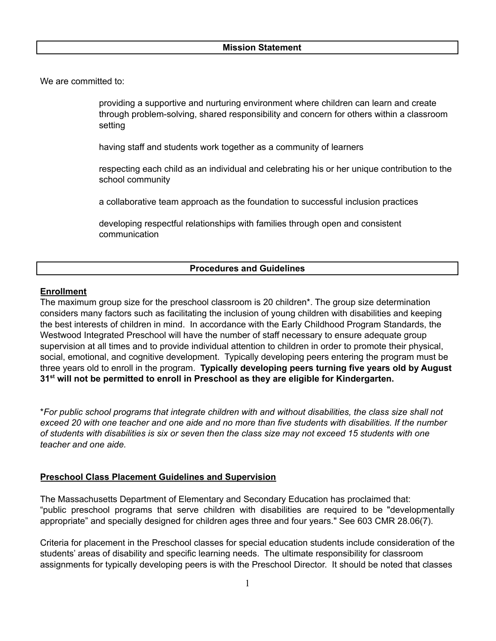#### **Mission Statement**

We are committed to:

providing a supportive and nurturing environment where children can learn and create through problem-solving, shared responsibility and concern for others within a classroom setting

having staff and students work together as a community of learners

respecting each child as an individual and celebrating his or her unique contribution to the school community

a collaborative team approach as the foundation to successful inclusion practices

developing respectful relationships with families through open and consistent communication

## **Procedures and Guidelines**

#### **Enrollment**

The maximum group size for the preschool classroom is 20 children\*. The group size determination considers many factors such as facilitating the inclusion of young children with disabilities and keeping the best interests of children in mind. In accordance with the Early Childhood Program Standards, the Westwood Integrated Preschool will have the number of staff necessary to ensure adequate group supervision at all times and to provide individual attention to children in order to promote their physical, social, emotional, and cognitive development. Typically developing peers entering the program must be three years old to enroll in the program. **Typically developing peers turning five years old by August 31 st will not be permitted to enroll in Preschool as they are eligible for Kindergarten.**

\**For public school programs that integrate children with and without disabilities, the class size shall not* exceed 20 with one teacher and one aide and no more than five students with disabilities. If the number of students with disabilities is six or seven then the class size may not exceed 15 students with one *teacher and one aide.*

#### **Preschool Class Placement Guidelines and Supervision**

The Massachusetts Department of Elementary and Secondary Education has proclaimed that: "public preschool programs that serve children with disabilities are required to be "developmentally appropriate" and specially designed for children ages three and four years." See 603 CMR 28.06(7).

Criteria for placement in the Preschool classes for special education students include consideration of the students' areas of disability and specific learning needs. The ultimate responsibility for classroom assignments for typically developing peers is with the Preschool Director. It should be noted that classes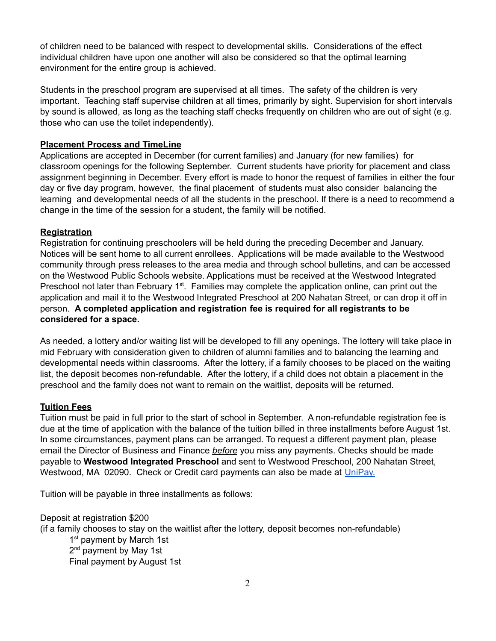of children need to be balanced with respect to developmental skills. Considerations of the effect individual children have upon one another will also be considered so that the optimal learning environment for the entire group is achieved.

Students in the preschool program are supervised at all times. The safety of the children is very important. Teaching staff supervise children at all times, primarily by sight. Supervision for short intervals by sound is allowed, as long as the teaching staff checks frequently on children who are out of sight (e.g. those who can use the toilet independently).

## **Placement Process and TimeLine**

Applications are accepted in December (for current families) and January (for new families) for classroom openings for the following September. Current students have priority for placement and class assignment beginning in December. Every effort is made to honor the request of families in either the four day or five day program, however, the final placement of students must also consider balancing the learning and developmental needs of all the students in the preschool. If there is a need to recommend a change in the time of the session for a student, the family will be notified.

## **Registration**

Registration for continuing preschoolers will be held during the preceding December and January. Notices will be sent home to all current enrollees. Applications will be made available to the Westwood community through press releases to the area media and through school bulletins, and can be accessed on the Westwood Public Schools website. Applications must be received at the Westwood Integrated Preschool not later than February 1<sup>st</sup>. Families may complete the application online, can print out the application and mail it to the Westwood Integrated Preschool at 200 Nahatan Street, or can drop it off in person. **A completed application and registration fee is required for all registrants to be considered for a space.**

As needed, a lottery and/or waiting list will be developed to fill any openings. The lottery will take place in mid February with consideration given to children of alumni families and to balancing the learning and developmental needs within classrooms. After the lottery, if a family chooses to be placed on the waiting list, the deposit becomes non-refundable. After the lottery, if a child does not obtain a placement in the preschool and the family does not want to remain on the waitlist, deposits will be returned.

## **Tuition Fees**

Tuition must be paid in full prior to the start of school in September. A non-refundable registration fee is due at the time of application with the balance of the tuition billed in three installments before August 1st. In some circumstances, payment plans can be arranged. To request a different payment plan, please email the Director of Business and Finance *before* you miss any payments. Checks should be made payable to **Westwood Integrated Preschool** and sent to Westwood Preschool, 200 Nahatan Street, Westwood, MA 02090. Check or Credit card payments can also be made at [UniPay.](https://unipaygold.unibank.com/transactioninfo.aspx)

Tuition will be payable in three installments as follows:

Deposit at registration \$200

(if a family chooses to stay on the waitlist after the lottery, deposit becomes non-refundable)

1<sup>st</sup> payment by March 1st 2<sup>nd</sup> payment by May 1st Final payment by August 1st